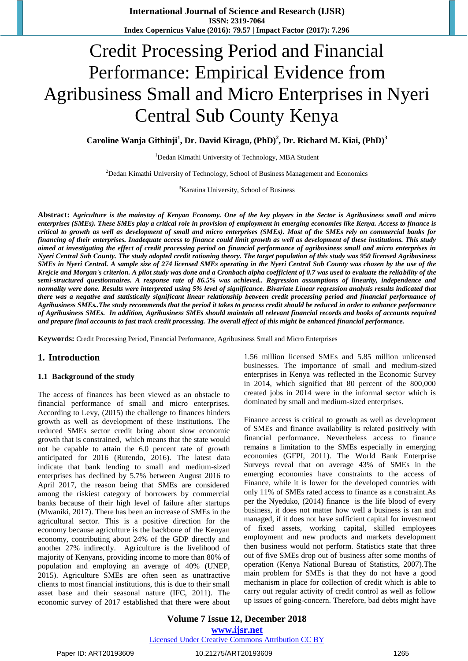**International Journal of Science and Research (IJSR) ISSN: 2319-7064 Index Copernicus Value (2016): 79.57 | Impact Factor (2017): 7.296**

# Credit Processing Period and Financial Performance: Empirical Evidence from Agribusiness Small and Micro Enterprises in Nyeri Central Sub County Kenya

### **Caroline Wanja Githinji<sup>1</sup> , Dr. David Kiragu, (PhD)<sup>2</sup> , Dr. Richard M. Kiai, (PhD)<sup>3</sup>**

<sup>1</sup>Dedan Kimathi University of Technology, MBA Student

<sup>2</sup>Dedan Kimathi University of Technology, School of Business Management and Economics

<sup>3</sup>Karatina University, School of Business

**Abstract:** *Agriculture is the mainstay of Kenyan Economy. One of the key players in the Sector is Agribusiness small and micro enterprises (SMEs). These SMEs play a critical role in provision of employment in emerging economies like Kenya. Access to finance is critical to growth as well as development of small and micro enterprises (SMEs). Most of the SMEs rely on commercial banks for financing of their enterprises. Inadequate access to finance could limit growth as well as development of these institutions. This study aimed at investigating the effect of credit processing period on financial performance of agribusiness small and micro enterprises in Nyeri Central Sub County. The study adopted credit rationing theory. The target population of this study was 950 licensed Agribusiness SMEs in Nyeri Central. A sample size of 274 licensed SMEs operating in the Nyeri Central Sub County was chosen by the use of the Krejcie and Morgan's criterion. A pilot study was done and a Cronbach alpha coefficient of 0.7 was used to evaluate the reliability of the semi-structured questionnaires. A response rate of 86.5% was achieved.. Regression assumptions of linearity, independence and normality were done. Results were interpreted using 5% level of significance. Bivariate Linear regression analysis results indicated that there was a negative and statistically significant linear relationship between credit processing period and financial performance of Agribusiness SMEs..The study recommends that the period it takes to process credit should be reduced in order to enhance performance of Agribusiness SMEs. In addition, Agribusiness SMEs should maintain all relevant financial records and books of accounts required and prepare final accounts to fast track credit processing. The overall effect of this might be enhanced financial performance.* 

**Keywords:** Credit Processing Period, Financial Performance, Agribusiness Small and Micro Enterprises

### **1. Introduction**

### **1.1 Background of the study**

The access of finances has been viewed as an obstacle to financial performance of small and micro enterprises. According to Levy, (2015) the challenge to finances hinders growth as well as development of these institutions. The reduced SMEs sector credit bring about slow economic growth that is constrained, which means that the state would not be capable to attain the 6.0 percent rate of growth anticipated for 2016 (Rutendo, 2016). The latest data indicate that bank lending to small and medium-sized enterprises has declined by 5.7% between August 2016 to April 2017, the reason being that SMEs are considered among the riskiest category of borrowers by commercial banks because of their high level of failure after startups (Mwaniki, 2017). There has been an increase of SMEs in the agricultural sector. This is a positive direction for the economy because agriculture is the backbone of the Kenyan economy, contributing about 24% of the GDP directly and another 27% indirectly. Agriculture is the livelihood of majority of Kenyans, providing income to more than 80% of population and employing an average of 40% (UNEP, 2015). Agriculture SMEs are often seen as unattractive clients to most financial institutions, this is due to their small asset base and their seasonal nature (IFC, 2011). The economic survey of 2017 established that there were about 1.56 million licensed SMEs and 5.85 million unlicensed businesses. The importance of small and medium-sized enterprises in Kenya was reflected in the Economic Survey in 2014, which signified that 80 percent of the 800,000 created jobs in 2014 were in the informal sector which is dominated by small and medium-sized enterprises.

Finance access is critical to growth as well as development of SMEs and finance availability is related positively with financial performance. Nevertheless access to finance remains a limitation to the SMEs especially in emerging economies (GFPI, 2011). The World Bank Enterprise Surveys reveal that on average 43% of SMEs in the emerging economies have constraints to the access of Finance, while it is lower for the developed countries with only 11% of SMEs rated access to finance as a constraint.As per the Nyeduko, (2014) finance is the life blood of every business, it does not matter how well a business is ran and managed, if it does not have sufficient capital for investment of fixed assets, working capital, skilled employees employment and new products and markets development then business would not perform. Statistics state that three out of five SMEs drop out of business after some months of operation (Kenya National Bureau of Statistics, 2007).The main problem for SMEs is that they do not have a good mechanism in place for collection of credit which is able to carry out regular activity of credit control as well as follow up issues of going-concern. Therefore, bad debts might have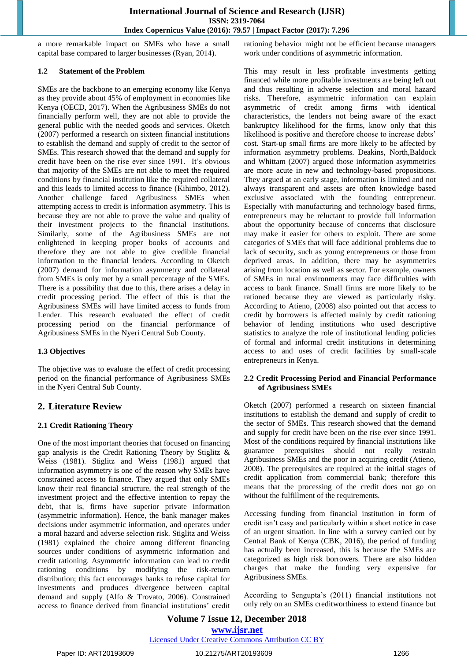a more remarkable impact on SMEs who have a small capital base compared to larger businesses (Ryan, 2014).

### **1.2 Statement of the Problem**

SMEs are the backbone to an emerging economy like Kenya as they provide about 45% of employment in economies like Kenya (OECD, 2017). When the Agribusiness SMEs do not financially perform well, they are not able to provide the general public with the needed goods and services. Oketch (2007) performed a research on sixteen financial institutions to establish the demand and supply of credit to the sector of SMEs. This research showed that the demand and supply for credit have been on the rise ever since 1991. It's obvious that majority of the SMEs are not able to meet the required conditions by financial institution like the required collateral and this leads to limited access to finance (Kihimbo, [2012\)](https://innovation-entrepreneurship.springeropen.com/articles/10.1186/s13731-016-0041-0#CR35). Another challenge faced Agribusiness SMEs when attempting access to credit is information asymmetry. This is because they are not able to prove the value and quality of their investment projects to the financial institutions. Similarly, some of the Agribusiness SMEs are not enlightened in keeping proper books of accounts and therefore they are not able to give credible financial information to the financial lenders. According to Oketch (2007) demand for information asymmetry and collateral from SMEs is only met by a small percentage of the SMEs. There is a possibility that due to this, there arises a delay in credit processing period. The effect of this is that the Agribusiness SMEs will have limited access to funds from Lender. This research evaluated the effect of credit processing period on the financial performance of Agribusiness SMEs in the Nyeri Central Sub County.

### **1.3 Objectives**

The objective was to evaluate the effect of credit processing period on the financial performance of Agribusiness SMEs in the Nyeri Central Sub County.

### **2. Literature Review**

### **2.1 Credit Rationing Theory**

One of the most important theories that focused on financing gap analysis is the Credit Rationing Theory by Stiglitz & Weiss (1981). Stiglitz and Weiss (1981) argued that information asymmetry is one of the reason why SMEs have constrained access to finance. They argued that only SMEs know their real financial structure, the real strength of the investment project and the effective intention to repay the debt, that is, firms have superior private information (asymmetric information). Hence, the bank manager makes decisions under asymmetric information, and operates under a moral hazard and adverse selection risk. Stiglitz and Weiss (1981) explained the choice among different financing sources under conditions of asymmetric information and credit rationing. Asymmetric information can lead to credit rationing conditions by modifying the risk-return distribution; this fact encourages banks to refuse capital for investments and produces divergence between capital demand and supply (Alfo & Trovato, 2006). Constrained access to finance derived from financial institutions' credit rationing behavior might not be efficient because managers work under conditions of asymmetric information.

This may result in less profitable investments getting financed while more profitable investments are being left out and thus resulting in adverse selection and moral hazard risks. Therefore, asymmetric information can explain asymmetric of credit among firms with identical characteristics, the lenders not being aware of the exact bankruptcy likelihood for the firms, know only that this likelihood is positive and therefore choose to increase debts' cost. Start-up small firms are more likely to be affected by information asymmetry problems. Deakins, North,Baldock and Whittam (2007) argued those information asymmetries are more acute in new and technology-based propositions. They argued at an early stage, information is limited and not always transparent and assets are often knowledge based exclusive associated with the founding entrepreneur. Especially with manufacturing and technology based firms, entrepreneurs may be reluctant to provide full information about the opportunity because of concerns that disclosure may make it easier for others to exploit. There are some categories of SMEs that will face additional problems due to lack of security, such as young entrepreneurs or those from deprived areas. In addition, there may be asymmetries arising from location as well as sector. For example, owners of SMEs in rural environments may face difficulties with access to bank finance. Small firms are more likely to be rationed because they are viewed as particularly risky. According to Atieno, (2008) also pointed out that access to credit by borrowers is affected mainly by credit rationing behavior of lending institutions who used descriptive statistics to analyze the role of institutional lending policies of formal and informal credit institutions in determining access to and uses of credit facilities by small-scale entrepreneurs in Kenya.

### **2.2 Credit Processing Period and Financial Performance of Agribusiness SMEs**

Oketch (2007) performed a research on sixteen financial institutions to establish the demand and supply of credit to the sector of SMEs. This research showed that the demand and supply for credit have been on the rise ever since 1991. Most of the conditions required by financial institutions like guarantee prerequisites should not really restrain Agribusiness SMEs and the poor in acquiring credit (Atieno, 2008). The prerequisites are required at the initial stages of credit application from commercial bank; therefore this means that the processing of the credit does not go on without the fulfillment of the requirements.

Accessing funding from financial institution in form of credit isn't easy and particularly within a short notice in case of an urgent situation. In line with a survey carried out by Central Bank of Kenya (CBK, 2016), the period of funding has actually been increased, this is because the SMEs are categorized as high risk borrowers. There are also hidden charges that make the funding very expensive for Agribusiness SMEs.

According to Sengupta's (2011) financial institutions not only rely on an SMEs creditworthiness to extend finance but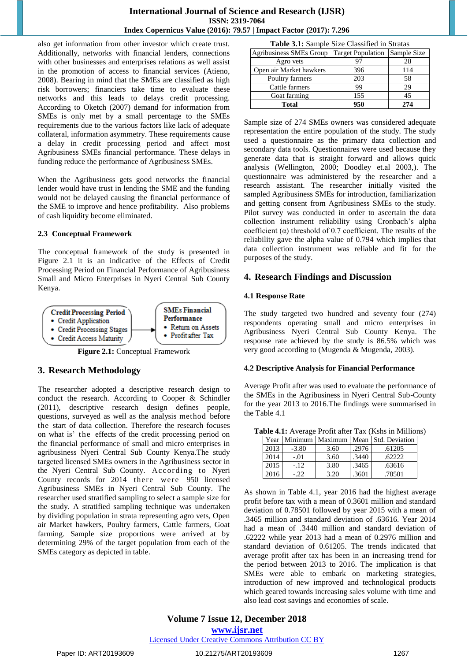also get information from other investor which create trust. Additionally, networks with financial lenders, connections with other businesses and enterprises relations as well assist in the promotion of access to financial services (Atieno, 2008). Bearing in mind that the SMEs are classified as high risk borrowers; financiers take time to evaluate these networks and this leads to delays credit processing. According to Oketch (2007) demand for information from SMEs is only met by a small percentage to the SMEs requirements due to the various factors like lack of adequate collateral, information asymmetry. These requirements cause a delay in credit processing period and affect most Agribusiness SMEs financial performance. These delays in funding reduce the performance of Agribusiness SMEs.

When the Agribusiness gets good networks the financial lender would have trust in lending the SME and the funding would not be delayed causing the financial performance of the SME to improve and hence profitability. Also problems of cash liquidity become eliminated.

### **2.3 Conceptual Framework**

The conceptual framework of the study is presented in Figure 2.1 it is an indicative of the Effects of Credit Processing Period on Financial Performance of Agribusiness Small and Micro Enterprises in Nyeri Central Sub County Kenya.



**Figure 2.1:** Conceptual Framework

### **3. Research Methodology**

The researcher adopted a descriptive research design to conduct the research. According to Cooper & Schindler (2011), descriptive research design defines people, questions, surveyed as well as the analysis method before the start of data collection. Therefore the research focuses on what is' t he effects of the credit processing period on the financial performance of small and micro enterprises in agribusiness Nyeri Central Sub County Kenya.The study targeted licensed SMEs owners in the Agribusiness sector in the Nyeri Central Sub County. According to Nyeri County records for 2014 there were 950 licensed Agribusiness SMEs in Nyeri Central Sub County. The researcher used stratified sampling to select a sample size for the study. A stratified sampling technique was undertaken by dividing population in strata representing agro vets, Open air Market hawkers, Poultry farmers, Cattle farmers, Goat farming. Sample size proportions were arrived at by determining 29% of the target population from each of the SMEs category as depicted in table.

| <b>Table 3.1:</b> Sample Size Classified in Stratas |
|-----------------------------------------------------|
|-----------------------------------------------------|

| <b>Agribusiness SMEs Group</b> | <b>Target Population</b> | Sample Size |
|--------------------------------|--------------------------|-------------|
| Agro vets                      |                          |             |
| Open air Market hawkers        | 396                      | 114         |
| Poultry farmers                | 203                      | 58          |
| Cattle farmers                 | 99                       | 29          |
| Goat farming                   | 155                      | 45          |
| <b>Total</b>                   | 950                      | 274         |

Sample size of 274 SMEs owners was considered adequate representation the entire population of the study. The study used a questionnaire as the primary data collection and secondary data tools. Questionnaires were used because they generate data that is straight forward and allows quick analysis (Wellington, 2000; Doodley et.al 2003,). The questionnaire was administered by the researcher and a research assistant. The researcher initially visited the sampled Agribusiness SMEs for introduction, familiarization and getting consent from Agribusiness SMEs to the study. Pilot survey was conducted in order to ascertain the data collection instrument reliability using Cronbach's alpha coefficient  $(\alpha)$  threshold of 0.7 coefficient. The results of the reliability gave the alpha value of 0.794 which implies that data collection instrument was reliable and fit for the purposes of the study.

### **4. Research Findings and Discussion**

### **4.1 Response Rate**

The study targeted two hundred and seventy four (274) respondents operating small and micro enterprises in Agribusiness Nyeri Central Sub County Kenya. The response rate achieved by the study is 86.5% which was very good according to (Mugenda & Mugenda, 2003).

### **4.2 Descriptive Analysis for Financial Performance**

Average Profit after was used to evaluate the performance of the SMEs in the Agribusiness in Nyeri Central Sub-County for the year 2013 to 2016.The findings were summarised in the Table 4.1

| <b>Table 4.1:</b> Average Profit after Tax (Kshs in Millions) |      |         |      |       |                                                  |  |  |
|---------------------------------------------------------------|------|---------|------|-------|--------------------------------------------------|--|--|
|                                                               |      |         |      |       | Year   Minimum   Maximum   Mean   Std. Deviation |  |  |
|                                                               | 2013 | $-3.80$ | 3.60 | .2976 | .61205                                           |  |  |
|                                                               | 2014 | $-.01$  | 3.60 | .3440 | .62222                                           |  |  |
|                                                               | 2015 | $-.12$  | 3.80 | .3465 | .63616                                           |  |  |
|                                                               | 2016 | $-22.$  | 3.20 | .3601 | .78501                                           |  |  |

As shown in Table 4.1, year 2016 had the highest average profit before tax with a mean of 0.3601 million and standard deviation of 0.78501 followed by year 2015 with a mean of .3465 million and standard deviation of .63616. Year 2014 had a mean of .3440 million and standard deviation of .62222 while year 2013 had a mean of 0.2976 million and standard deviation of 0.61205. The trends indicated that average profit after tax has been in an increasing trend for the period between 2013 to 2016. The implication is that SMEs were able to embark on marketing strategies, introduction of new improved and technological products which geared towards increasing sales volume with time and also lead cost savings and economies of scale.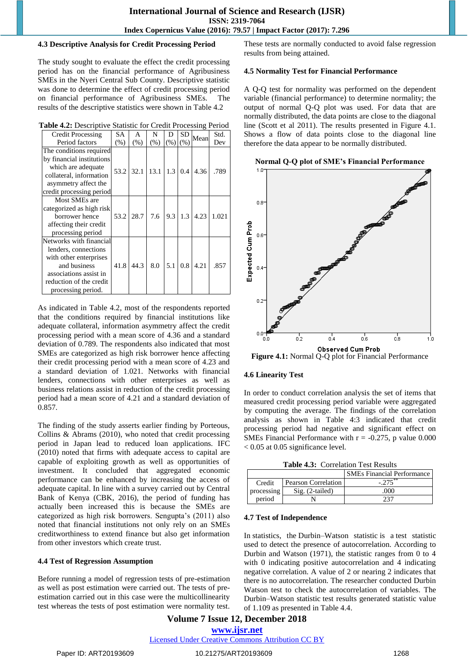### **4.3 Descriptive Analysis for Credit Processing Period**

The study sought to evaluate the effect the credit processing period has on the financial performance of Agribusiness SMEs in the Nyeri Central Sub County. Descriptive statistic was done to determine the effect of credit processing period on financial performance of Agribusiness SMEs. The results of the descriptive statistics were shown in Table 4.2

| Table 4.2: Descriptive Statistic for Credit Processing Period |  |  |
|---------------------------------------------------------------|--|--|
|                                                               |  |  |

| <b>Credit Processing</b>  | SА     | A    | N                   | D   | SD            | Mean | Std.  |
|---------------------------|--------|------|---------------------|-----|---------------|------|-------|
| Period factors            | $(\%)$ | (% ) | (% )                | (%) | (% )          |      | Dev   |
| The conditions required   |        |      |                     |     |               |      |       |
| by financial institutions |        |      |                     |     |               |      |       |
| which are adequate        | 53.2   |      | $32.1$   13.1   1.3 |     | 0.4           | 4.36 | .789  |
| collateral, information   |        |      |                     |     |               |      |       |
| asymmetry affect the      |        |      |                     |     |               |      |       |
| credit processing period  |        |      |                     |     |               |      |       |
| Most SMEs are             |        |      |                     |     |               |      |       |
| categorized as high risk  |        |      |                     |     |               |      |       |
| borrower hence            | 53.2   | 28.7 | 7.6                 |     | $9.3 \pm 1.3$ | 4.23 | 1.021 |
| affecting their credit    |        |      |                     |     |               |      |       |
| processing period         |        |      |                     |     |               |      |       |
| Networks with financial   |        |      |                     |     |               |      |       |
| lenders, connections      |        |      |                     |     |               |      |       |
| with other enterprises    |        |      |                     |     |               |      |       |
| and business              | 41.8   | 44.3 | 8.0                 | 5.1 | 0.8           | 4.21 | .857  |
| associations assist in    |        |      |                     |     |               |      |       |
| reduction of the credit   |        |      |                     |     |               |      |       |
| processing period.        |        |      |                     |     |               |      |       |

As indicated in Table 4.2, most of the respondents reported that the conditions required by financial institutions like adequate collateral, information asymmetry affect the credit processing period with a mean score of 4.36 and a standard deviation of 0.789. The respondents also indicated that most SMEs are categorized as high risk borrower hence affecting their credit processing period with a mean score of 4.23 and a standard deviation of 1.021. Networks with financial lenders, connections with other enterprises as well as business relations assist in reduction of the credit processing period had a mean score of 4.21 and a standard deviation of 0.857.

The finding of the study asserts earlier finding by Porteous, Collins & Abrams (2010), who noted that credit processing period in Japan lead to reduced loan applications. IFC (2010) noted that firms with adequate access to capital are capable of exploiting growth as well as opportunities of investment. It concluded that aggregated economic performance can be enhanced by increasing the access of adequate capital. In line with a survey carried out by Central Bank of Kenya (CBK, 2016), the period of funding has actually been increased this is because the SMEs are categorized as high risk borrowers. Sengupta's (2011) also noted that financial institutions not only rely on an SMEs creditworthiness to extend finance but also get information from other investors which create trust.

### **4.4 Test of Regression Assumption**

Before running a model of regression tests of pre-estimation as well as post estimation were carried out. The tests of preestimation carried out in this case were the multicollinearity test whereas the tests of post estimation were normality test. These tests are normally conducted to avoid false regression results from being attained.

### **4.5 Normality Test for Financial Performance**

A Q-Q test for normality was performed on the dependent variable (financial performance) to determine normality; the output of normal Q-Q plot was used. For data that are normally distributed, the data points are close to the diagonal line (Scott et al 2011). The results presented in Figure 4.1. Shows a flow of data points close to the diagonal line therefore the data appear to be normally distributed.

**Normal Q-Q plot of SME's Financial Performance**



**Figure 4.1:** Normal Q-Q plot for Financial Performance

### **4.6 Linearity Test**

In order to conduct correlation analysis the set of items that measured credit processing period variable were aggregated by computing the average. The findings of the correlation analysis as shown in Table 4:3 indicated that credit processing period had negative and significant effect on SMEs Financial Performance with  $r = -0.275$ , p value 0.000  $< 0.05$  at 0.05 significance level.

**Table 4.3:** Correlation Test Results

|            |                     | <b>SMEs Financial Performance</b> |
|------------|---------------------|-----------------------------------|
| Credit     | Pearson Correlation | - **                              |
| processing | $Sig. (2-tailed)$   | 000                               |
| period     |                     | $2^{\sim}$                        |

### **4.7 Test of Independence**

In statistics, the Durbin–Watson statistic is a test statistic used to detect the presence of autocorrelation. According to Durbin and Watson (1971), the statistic ranges from 0 to 4 with 0 indicating positive autocorrelation and 4 indicating negative correlation. A value of 2 or nearing 2 indicates that there is no autocorrelation. The researcher conducted Durbin Watson test to check the autocorrelation of variables. The Durbin–Watson statistic test results generated statistic value of 1.109 as presented in Table 4.4.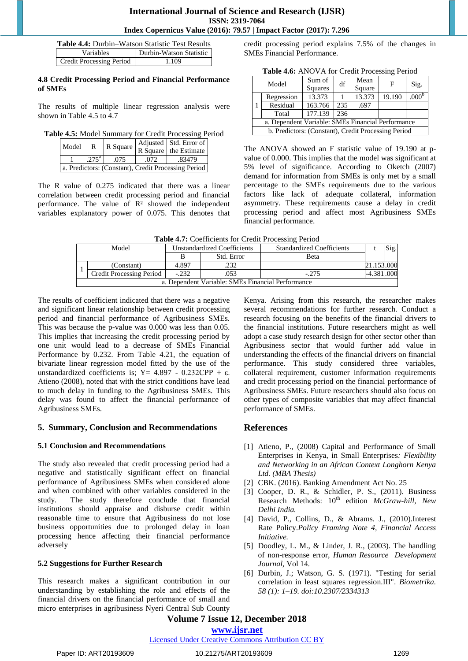| <b>Table 4.4:</b> Durbin–Watson Statistic Test Results |                         |  |  |  |
|--------------------------------------------------------|-------------------------|--|--|--|
| Variables                                              | Durbin-Watson Statistic |  |  |  |
| <b>Credit Processing Period</b>                        | 1.109                   |  |  |  |

### **4.8 Credit Processing Period and Financial Performance of SMEs**

The results of multiple linear regression analysis were shown in Table 4.5 to 4.7

**Table 4.5:** Model Summary for Credit Processing Period

| Model                                               | $\mathbb{R}$   | R Square |       | Adjusted Std. Error of<br>R Square the Estimate |  |  |
|-----------------------------------------------------|----------------|----------|-------|-------------------------------------------------|--|--|
|                                                     | $.275^{\rm a}$ | .075     | .072. | .83479                                          |  |  |
| a. Predictors: (Constant), Credit Processing Period |                |          |       |                                                 |  |  |

The R value of 0.275 indicated that there was a linear correlation between credit processing period and financial performance. The value of  $\mathbb{R}^2$  showed the independent variables explanatory power of 0.075. This denotes that credit processing period explains 7.5% of the changes in SMEs Financial Performance.

|                                                   | Table 4.6: ANOVA for Credit Processing Period       |                |     |        |        |                   |  |
|---------------------------------------------------|-----------------------------------------------------|----------------|-----|--------|--------|-------------------|--|
|                                                   | Model                                               | Sum of         | df  | Mean   | F      | Sig.              |  |
|                                                   |                                                     | <b>Squares</b> |     | Square |        |                   |  |
|                                                   | Regression                                          | 13.373         |     | 13.373 | 19.190 | .000 <sup>b</sup> |  |
| -1                                                | Residual                                            | 163.766        | 235 | .697   |        |                   |  |
|                                                   | Total                                               | 177.139        | 236 |        |        |                   |  |
| a. Dependent Variable: SMEs Financial Performance |                                                     |                |     |        |        |                   |  |
|                                                   | b. Predictors: (Constant), Credit Processing Period |                |     |        |        |                   |  |

The ANOVA showed an F statistic value of 19.190 at pvalue of 0.000. This implies that the model was significant at 5% level of significance. According to Oketch (2007) demand for information from SMEs is only met by a small percentage to the SMEs requirements due to the various factors like lack of adequate collateral, information asymmetry. These requirements cause a delay in credit processing period and affect most Agribusiness SMEs financial performance.

| Table 4.7: Coefficients for Credit Processing Period |  |
|------------------------------------------------------|--|
|------------------------------------------------------|--|

|  | Model                                             | <b>Unstandardized Coefficients</b> |            | <b>Standardized Coefficients</b> |  | Sig. |  |  |  |
|--|---------------------------------------------------|------------------------------------|------------|----------------------------------|--|------|--|--|--|
|  |                                                   |                                    | Std. Error | <b>Beta</b>                      |  |      |  |  |  |
|  | (Constant)                                        | 4.897                              | .232       |                                  |  |      |  |  |  |
|  | Credit Processing Period                          | $-.232$                            | .053       | $-.275$                          |  |      |  |  |  |
|  | a. Dependent Variable: SMEs Financial Performance |                                    |            |                                  |  |      |  |  |  |

The results of coefficient indicated that there was a negative and significant linear relationship between credit processing period and financial performance of Agribusiness SMEs. This was because the p-value was 0.000 was less than 0.05. This implies that increasing the credit processing period by one unit would lead to a decrease of SMEs Financial Performance by 0.232. From Table 4.21, the equation of bivariate linear regression model fitted by the use of the unstandardized coefficients is; Y = 4.897 - 0.232CPP +  $\varepsilon$ . Atieno (2008), noted that with the strict conditions have lead to much delay in funding to the Agribusiness SMEs. This delay was found to affect the financial performance of Agribusiness SMEs.

### **5. Summary, Conclusion and Recommendations**

### **5.1 Conclusion and Recommendations**

The study also revealed that credit processing period had a negative and statistically significant effect on financial performance of Agribusiness SMEs when considered alone and when combined with other variables considered in the study. The study therefore conclude that financial institutions should appraise and disburse credit within reasonable time to ensure that Agribusiness do not lose business opportunities due to prolonged delay in loan processing hence affecting their financial performance adversely

### **5.2 Suggestions for Further Research**

This research makes a significant contribution in our understanding by establishing the role and effects of the financial drivers on the financial performance of small and micro enterprises in agribusiness Nyeri Central Sub County Kenya. Arising from this research, the researcher makes several recommendations for further research. Conduct a research focusing on the benefits of the financial drivers to the financial institutions. Future researchers might as well adopt a case study research design for other sector other than Agribusiness sector that would further add value in understanding the effects of the financial drivers on financial performance. This study considered three variables, collateral requirement, customer information requirements and credit processing period on the financial performance of Agribusiness SMEs. Future researchers should also focus on other types of composite variables that may affect financial performance of SMEs.

### **References**

- [1] Atieno, P., (2008) Capital and Performance of Small Enterprises in Kenya, in Small Enterprises*: Flexibility and Networking in an African Context Longhorn Kenya Ltd. (MBA Thesis)*
- [2] CBK. (2016). Banking Amendment Act No. 25
- [3] Cooper, D. R., & Schidler, P. S., (2011). Business Research Methods:  $10^{th}$  edition *McGraw-hill, New Delhi India.*
- [4] David, P., Collins, D., & Abrams. J., (2010).Interest Rate Policy.*Policy Framing Note 4, Financial Access Initiative.*
- [5] Doodley, L. M., & Linder, J. R., (2003). The handling of non-response error, *Human Resource Development Journal,* Vol 14*.*
- [6] Durbin, J.; Watson, G. S. (1971). "Testing for serial correlation in least squares regression.III". *Biometrika. 58 (1): 1–19. doi:10.2307/2334313*

## **Volume 7 Issue 12, December 2018**

Licensed Under Creative Commons Attribution CC BY